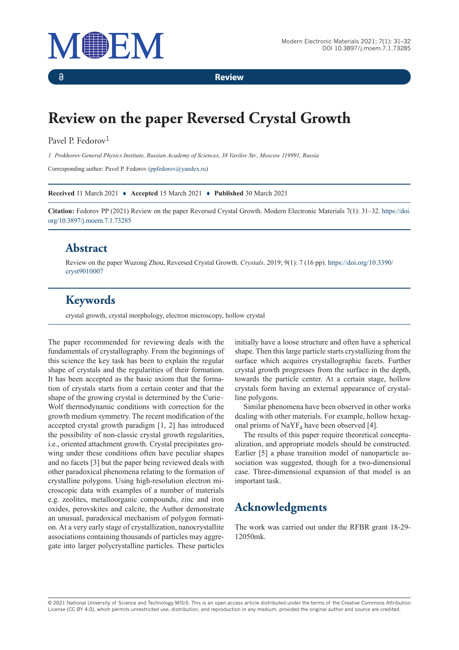

**Review**

# **Review on the paper Reversed Crystal Growth**

#### Pavel P. Fedorov<sup>1</sup>

 $\delta$ 

*1 Prokhorov General Physics Institute, Russian Academy of Sciences, 38 Vavilov Str., Moscow 119991, Russia*

Corresponding author: Pavel P. Fedorov (ppfedorov@yandex.ru)

**Received** 11 March 2021 ♦ **Accepted** 15 March 2021 ♦ **Published** 30 March 2021

**Citation:** Fedorov PP (2021) Review on the paper Reversed Crystal Growth. Modern Electronic Materials 7(1): 31–32. https://doi. org/10.3897/j.moem.7.1.73285

#### **Abstract**

Review on the paper Wuzong Zhou, Reversed Crystal Growth. *Crystals*. 2019; 9(1): 7 (16 pp). https://doi.org/10.3390/ cryst9010007

### **Keywords**

crystal growth, crystal morphology, electron microscopy, hollow crystal

The paper recommended for reviewing deals with the fundamentals of crystallography. From the beginnings of this science the key task has been to explain the regular shape of crystals and the regularities of their formation. It has been accepted as the basic axiom that the formation of crystals starts from a certain center and that the shape of the growing crystal is determined by the Curie– Wolf thermodynamic conditions with correction for the growth medium symmetry. The recent modification of the accepted crystal growth paradigm [1, 2] has introduced the possibility of non-classic crystal growth regularities, i.e., oriented attachment growth. Crystal precipitates growing under these conditions often have peculiar shapes and no facets [3] but the paper being reviewed deals with other paradoxical phenomena relating to the formation of crystalline polygons. Using high-resolution electron microscopic data with examples of a number of materials e.g. zeolites, metalloorganic compounds, zinc and iron oxides, perovskites and calcite, the Author demonstrate an unusual, paradoxical mechanism of polygon formation. At a very early stage of crystallization, nanocrystallite associations containing thousands of particles may aggregate into larger polycrystalline particles. These particles

initially have a loose structure and often have a spherical shape. Then this large particle starts crystallizing from the surface which acquires crystallographic facets. Further crystal growth progresses from the surface in the depth, towards the particle center. At a certain stage, hollow crystals form having an external appearance of crystalline polygons.

Similar phenomena have been observed in other works dealing with other materials. For example, hollow hexagonal prisms of  $\text{NaYF}_4$  have been observed [4].

The results of this paper require theoretical conceptualization, and appropriate models should be constructed. Earlier [5] a phase transition model of nanoparticle association was suggested, though for a two-dimensional case. Three-dimensional expansion of that model is an important task.

## **Acknowledgments**

The work was carried out under the RFBR grant 18-29- 12050mk.

© 2021 National University of Science and Technology MISiS*.* This is an open access article distributed under the terms of the Creative Commons Attribution License (CC-BY 4.0), which permits unrestricted use, distribution, and reproduction in any medium, provided the original author and source are credited.